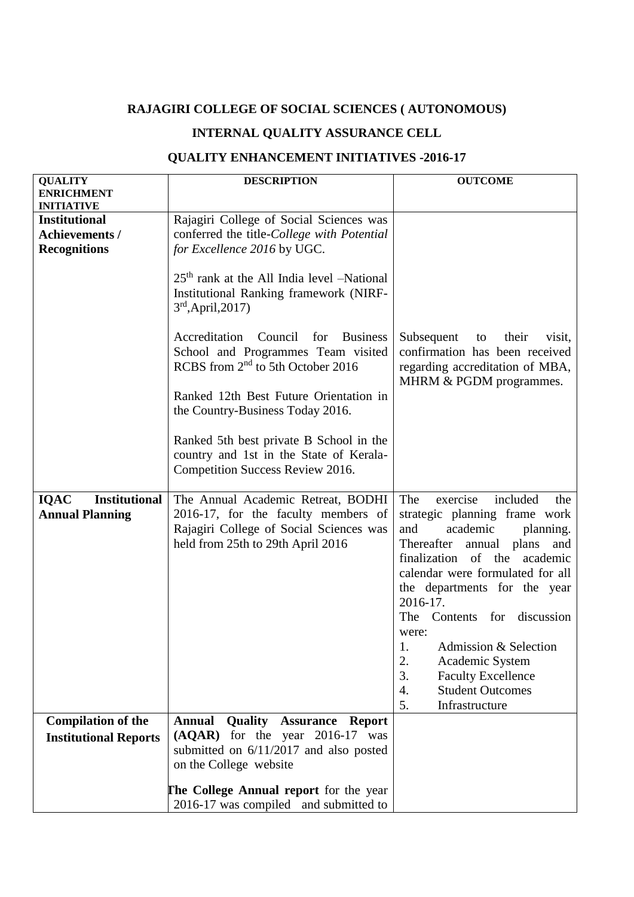## **RAJAGIRI COLLEGE OF SOCIAL SCIENCES ( AUTONOMOUS)**

## **INTERNAL QUALITY ASSURANCE CELL**

## **QUALITY ENHANCEMENT INITIATIVES -2016-17**

| <b>QUALITY</b>                            | <b>DESCRIPTION</b>                                                                                                                        | <b>OUTCOME</b>                                                                                                                      |
|-------------------------------------------|-------------------------------------------------------------------------------------------------------------------------------------------|-------------------------------------------------------------------------------------------------------------------------------------|
| <b>ENRICHMENT</b>                         |                                                                                                                                           |                                                                                                                                     |
| <b>INITIATIVE</b><br><b>Institutional</b> | Rajagiri College of Social Sciences was                                                                                                   |                                                                                                                                     |
| <b>Achievements /</b>                     | conferred the title-College with Potential                                                                                                |                                                                                                                                     |
| <b>Recognitions</b>                       | for Excellence 2016 by UGC.                                                                                                               |                                                                                                                                     |
|                                           |                                                                                                                                           |                                                                                                                                     |
|                                           | $25th$ rank at the All India level -National<br>Institutional Ranking framework (NIRF-<br>$3rd$ , April, 2017)                            |                                                                                                                                     |
|                                           | Accreditation<br>Council<br>for<br><b>Business</b><br>School and Programmes Team visited<br>RCBS from 2 <sup>nd</sup> to 5th October 2016 | Subsequent<br>their<br>to<br>visit,<br>confirmation has been received<br>regarding accreditation of MBA,<br>MHRM & PGDM programmes. |
|                                           | Ranked 12th Best Future Orientation in<br>the Country-Business Today 2016.                                                                |                                                                                                                                     |
|                                           | Ranked 5th best private B School in the<br>country and 1st in the State of Kerala-<br>Competition Success Review 2016.                    |                                                                                                                                     |
| <b>IQAC</b><br><b>Institutional</b>       | The Annual Academic Retreat, BODHI                                                                                                        | The<br>included<br>exercise<br>the                                                                                                  |
| <b>Annual Planning</b>                    | 2016-17, for the faculty members of                                                                                                       | strategic planning frame work                                                                                                       |
|                                           | Rajagiri College of Social Sciences was                                                                                                   | and<br>academic<br>planning.                                                                                                        |
|                                           | held from 25th to 29th April 2016                                                                                                         | Thereafter<br>annual plans<br>and                                                                                                   |
|                                           |                                                                                                                                           | finalization of the academic                                                                                                        |
|                                           |                                                                                                                                           | calendar were formulated for all                                                                                                    |
|                                           |                                                                                                                                           | the departments for the year<br>2016-17.                                                                                            |
|                                           |                                                                                                                                           | The Contents for discussion                                                                                                         |
|                                           |                                                                                                                                           | were:                                                                                                                               |
|                                           |                                                                                                                                           | Admission & Selection                                                                                                               |
|                                           |                                                                                                                                           | 2.<br>Academic System                                                                                                               |
|                                           |                                                                                                                                           | 3.<br><b>Faculty Excellence</b>                                                                                                     |
|                                           |                                                                                                                                           | <b>Student Outcomes</b><br>4.                                                                                                       |
|                                           |                                                                                                                                           | 5.<br>Infrastructure                                                                                                                |
| <b>Compilation of the</b>                 | <b>Annual</b><br>Quality<br><b>Assurance</b><br><b>Report</b>                                                                             |                                                                                                                                     |
| <b>Institutional Reports</b>              | for the year 2016-17 was<br>(AQAR)                                                                                                        |                                                                                                                                     |
|                                           | submitted on 6/11/2017 and also posted<br>on the College website                                                                          |                                                                                                                                     |
|                                           |                                                                                                                                           |                                                                                                                                     |
|                                           | The College Annual report for the year                                                                                                    |                                                                                                                                     |
|                                           | 2016-17 was compiled and submitted to                                                                                                     |                                                                                                                                     |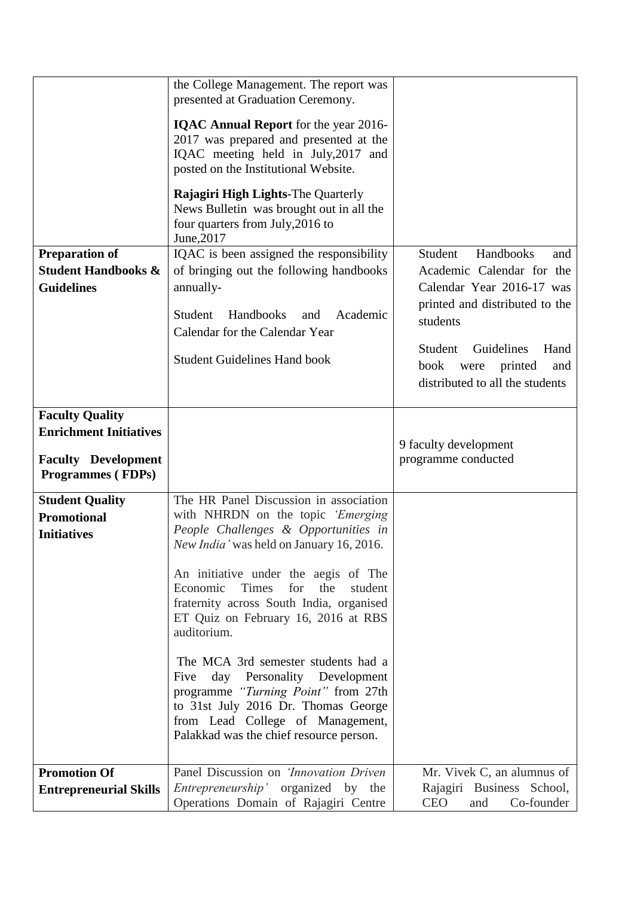|                                                         | the College Management. The report was<br>presented at Graduation Ceremony.                                                                                                                                                                            |                                                              |
|---------------------------------------------------------|--------------------------------------------------------------------------------------------------------------------------------------------------------------------------------------------------------------------------------------------------------|--------------------------------------------------------------|
|                                                         | <b>IQAC Annual Report</b> for the year 2016-<br>2017 was prepared and presented at the<br>IQAC meeting held in July, 2017 and<br>posted on the Institutional Website.                                                                                  |                                                              |
|                                                         | <b>Rajagiri High Lights-The Quarterly</b><br>News Bulletin was brought out in all the<br>four quarters from July, 2016 to<br>June, 2017                                                                                                                |                                                              |
| <b>Preparation of</b><br><b>Student Handbooks &amp;</b> | IQAC is been assigned the responsibility<br>of bringing out the following handbooks                                                                                                                                                                    | Handbooks<br>Student<br>and<br>Academic Calendar for the     |
| <b>Guidelines</b>                                       | annually-                                                                                                                                                                                                                                              | Calendar Year 2016-17 was                                    |
|                                                         | Handbooks<br>Student<br>Academic<br>and                                                                                                                                                                                                                | printed and distributed to the<br>students                   |
|                                                         | Calendar for the Calendar Year                                                                                                                                                                                                                         | Guidelines<br>Student<br>Hand                                |
|                                                         | <b>Student Guidelines Hand book</b>                                                                                                                                                                                                                    | book<br>printed<br>were<br>and                               |
|                                                         |                                                                                                                                                                                                                                                        | distributed to all the students                              |
| <b>Faculty Quality</b><br><b>Enrichment Initiatives</b> |                                                                                                                                                                                                                                                        |                                                              |
| <b>Faculty Development</b>                              |                                                                                                                                                                                                                                                        | 9 faculty development<br>programme conducted                 |
| Programmes (FDPs)                                       |                                                                                                                                                                                                                                                        |                                                              |
| <b>Student Quality</b>                                  | The HR Panel Discussion in association<br>with NHRDN on the topic 'Emerging                                                                                                                                                                            |                                                              |
| <b>Promotional</b><br><b>Initiatives</b>                | People Challenges & Opportunities in                                                                                                                                                                                                                   |                                                              |
|                                                         | New India' was held on January 16, 2016.                                                                                                                                                                                                               |                                                              |
|                                                         | An initiative under the aegis of The<br>Economic<br>Times<br>for<br>the<br>student<br>fraternity across South India, organised<br>ET Quiz on February 16, 2016 at RBS                                                                                  |                                                              |
|                                                         | auditorium.<br>The MCA 3rd semester students had a<br>day Personality Development<br>Five<br>programme "Turning Point" from 27th<br>to 31st July 2016 Dr. Thomas George<br>from Lead College of Management,<br>Palakkad was the chief resource person. |                                                              |
| <b>Promotion Of</b>                                     | Panel Discussion on 'Innovation Driven                                                                                                                                                                                                                 | Mr. Vivek C, an alumnus of                                   |
| <b>Entrepreneurial Skills</b>                           | <i>Entrepreneurship'</i> organized by the<br>Operations Domain of Rajagiri Centre                                                                                                                                                                      | Rajagiri Business School,<br><b>CEO</b><br>Co-founder<br>and |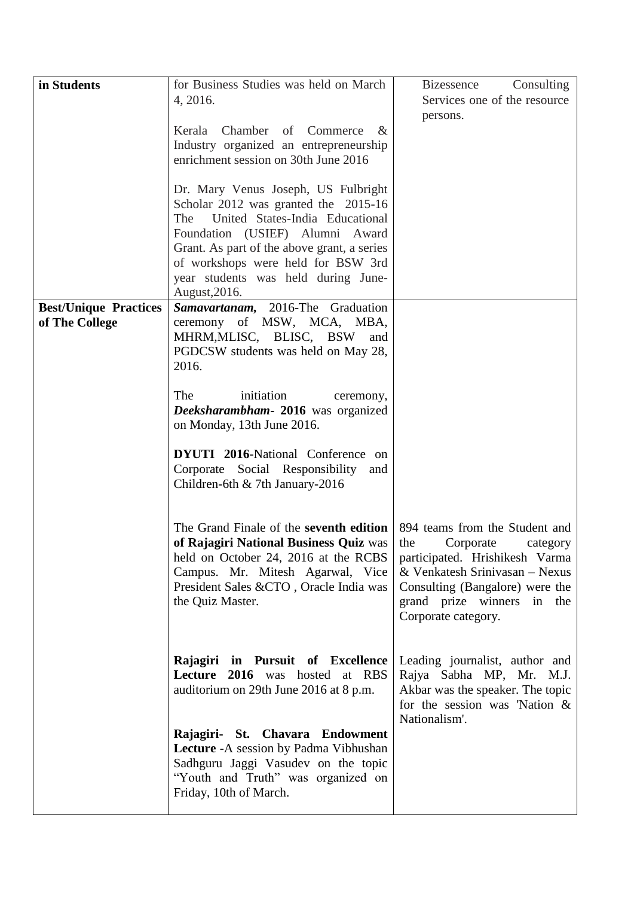| in Students                  | for Business Studies was held on March                                   | Consulting<br><b>Bizessence</b>                                      |
|------------------------------|--------------------------------------------------------------------------|----------------------------------------------------------------------|
|                              | 4, 2016.                                                                 | Services one of the resource                                         |
|                              |                                                                          | persons.                                                             |
|                              | Chamber of Commerce<br>Kerala<br>$\&$                                    |                                                                      |
|                              | Industry organized an entrepreneurship                                   |                                                                      |
|                              | enrichment session on 30th June 2016                                     |                                                                      |
|                              | Dr. Mary Venus Joseph, US Fulbright                                      |                                                                      |
|                              | Scholar 2012 was granted the 2015-16                                     |                                                                      |
|                              | United States-India Educational<br>The                                   |                                                                      |
|                              | Foundation (USIEF) Alumni Award                                          |                                                                      |
|                              | Grant. As part of the above grant, a series                              |                                                                      |
|                              | of workshops were held for BSW 3rd                                       |                                                                      |
|                              | year students was held during June-                                      |                                                                      |
|                              | August, 2016.                                                            |                                                                      |
| <b>Best/Unique Practices</b> | Samavartanam, 2016-The Graduation                                        |                                                                      |
| of The College               | ceremony of MSW, MCA, MBA,                                               |                                                                      |
|                              | MHRM, MLISC, BLISC, BSW<br>and<br>PGDCSW students was held on May 28,    |                                                                      |
|                              | 2016.                                                                    |                                                                      |
|                              |                                                                          |                                                                      |
|                              | The<br>initiation<br>ceremony,                                           |                                                                      |
|                              | Deeksharambham - 2016 was organized                                      |                                                                      |
|                              | on Monday, 13th June 2016.                                               |                                                                      |
|                              | <b>DYUTI 2016-National Conference on</b>                                 |                                                                      |
|                              | Corporate Social Responsibility<br>and                                   |                                                                      |
|                              | Children-6th & 7th January-2016                                          |                                                                      |
|                              |                                                                          |                                                                      |
|                              |                                                                          |                                                                      |
|                              | The Grand Finale of the seventh edition                                  | 894 teams from the Student and                                       |
|                              | of Rajagiri National Business Quiz was                                   | the<br>Corporate<br>category                                         |
|                              | held on October 24, 2016 at the RCBS<br>Campus. Mr. Mitesh Agarwal, Vice | participated. Hrishikesh Varma<br>& Venkatesh Srinivasan $-$ Nexus   |
|                              | President Sales &CTO, Oracle India was                                   | Consulting (Bangalore) were the                                      |
|                              | the Quiz Master.                                                         | grand prize winners in the                                           |
|                              |                                                                          | Corporate category.                                                  |
|                              |                                                                          |                                                                      |
|                              |                                                                          |                                                                      |
|                              | Rajagiri in Pursuit of Excellence                                        | Leading journalist, author and                                       |
|                              | Lecture 2016 was hosted at RBS                                           | Rajya Sabha MP, Mr. M.J.                                             |
|                              | auditorium on 29th June 2016 at 8 p.m.                                   | Akbar was the speaker. The topic<br>for the session was 'Nation $\&$ |
|                              |                                                                          | Nationalism'.                                                        |
|                              | Rajagiri- St. Chavara Endowment                                          |                                                                      |
|                              | Lecture - A session by Padma Vibhushan                                   |                                                                      |
|                              | Sadhguru Jaggi Vasudev on the topic                                      |                                                                      |
|                              | "Youth and Truth" was organized on                                       |                                                                      |
|                              | Friday, 10th of March.                                                   |                                                                      |
|                              |                                                                          |                                                                      |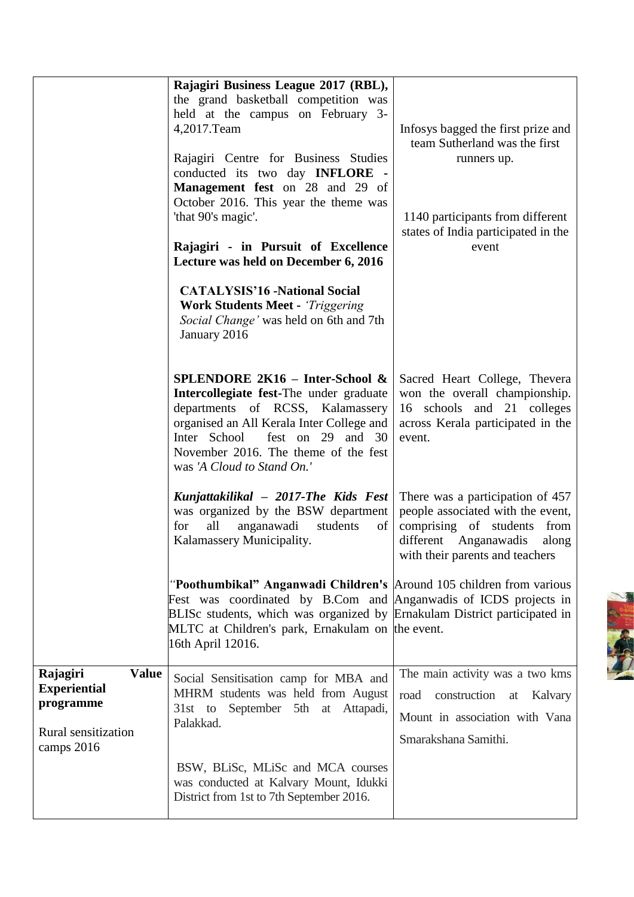|                                                                                                   | Rajagiri Business League 2017 (RBL),<br>the grand basketball competition was<br>held at the campus on February 3-<br>4,2017.Team<br>Rajagiri Centre for Business Studies<br>conducted its two day <b>INFLORE</b> -<br><b>Management fest</b> on 28 and 29 of<br>October 2016. This year the theme was<br>'that 90's magic'.<br>Rajagiri - in Pursuit of Excellence<br>Lecture was held on December 6, 2016 | Infosys bagged the first prize and<br>team Sutherland was the first<br>runners up.<br>1140 participants from different<br>states of India participated in the<br>event       |
|---------------------------------------------------------------------------------------------------|------------------------------------------------------------------------------------------------------------------------------------------------------------------------------------------------------------------------------------------------------------------------------------------------------------------------------------------------------------------------------------------------------------|------------------------------------------------------------------------------------------------------------------------------------------------------------------------------|
|                                                                                                   | <b>CATALYSIS'16 -National Social</b><br><b>Work Students Meet - 'Triggering</b><br>Social Change' was held on 6th and 7th<br>January 2016                                                                                                                                                                                                                                                                  |                                                                                                                                                                              |
|                                                                                                   | SPLENDORE 2K16 - Inter-School &<br>Intercollegiate fest-The under graduate<br>departments of RCSS, Kalamassery<br>organised an All Kerala Inter College and<br>Inter School<br>fest on 29 and 30<br>November 2016. The theme of the fest<br>was 'A Cloud to Stand On.'                                                                                                                                     | Sacred Heart College, Thevera<br>won the overall championship.<br>16 schools and 21 colleges<br>across Kerala participated in the<br>event.                                  |
|                                                                                                   | Kunjattakilikal - 2017-The Kids Fest<br>was organized by the BSW department<br>all<br>anganawadi<br>for<br>students<br>of<br>Kalamassery Municipality.                                                                                                                                                                                                                                                     | There was a participation of 457<br>people associated with the event,<br>comprising of students<br>from<br>different Anganawadis<br>along<br>with their parents and teachers |
|                                                                                                   | "Poothumbikal" Anganwadi Children's Around 105 children from various<br>Fest was coordinated by B.Com and Anganwadis of ICDS projects in<br>BLISc students, which was organized by Ernakulam District participated in<br>MLTC at Children's park, Ernakulam on the event.<br>16th April 12016.                                                                                                             |                                                                                                                                                                              |
| <b>Value</b><br>Rajagiri<br><b>Experiential</b><br>programme<br>Rural sensitization<br>camps 2016 | Social Sensitisation camp for MBA and<br>MHRM students was held from August<br>September 5th at Attapadi,<br>$31st$ to<br>Palakkad.                                                                                                                                                                                                                                                                        | The main activity was a two kms<br>road<br>construction at<br>Kalvary<br>Mount in association with Vana<br>Smarakshana Samithi.                                              |
|                                                                                                   | BSW, BLiSc, MLiSc and MCA courses<br>was conducted at Kalvary Mount, Idukki<br>District from 1st to 7th September 2016.                                                                                                                                                                                                                                                                                    |                                                                                                                                                                              |

S.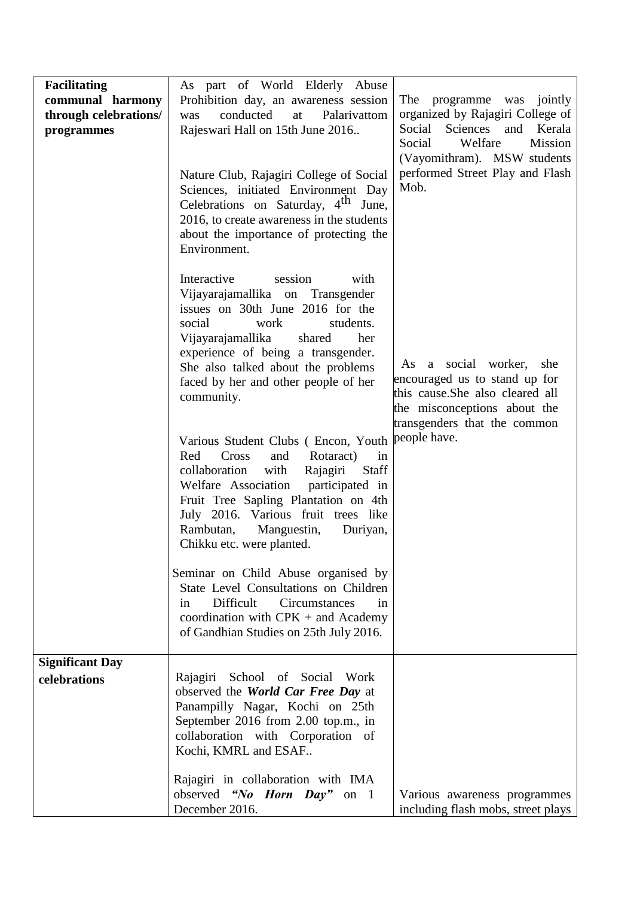| <b>Facilitating</b><br>communal harmony<br>through celebrations/<br>programmes | As part of World Elderly Abuse<br>Prohibition day, an awareness session<br>conducted<br>Palarivattom<br>at<br>was<br>Rajeswari Hall on 15th June 2016<br>Nature Club, Rajagiri College of Social<br>Sciences, initiated Environment Day<br>Celebrations on Saturday, 4 <sup>th</sup> June,<br>2016, to create awareness in the students<br>about the importance of protecting the<br>Environment. | The<br>programme was jointly<br>organized by Rajagiri College of<br>Social<br>Sciences<br>Kerala<br>and<br>Welfare<br>Mission<br>Social<br>(Vayomithram). MSW students<br>performed Street Play and Flash<br>Mob. |
|--------------------------------------------------------------------------------|---------------------------------------------------------------------------------------------------------------------------------------------------------------------------------------------------------------------------------------------------------------------------------------------------------------------------------------------------------------------------------------------------|-------------------------------------------------------------------------------------------------------------------------------------------------------------------------------------------------------------------|
|                                                                                | Interactive<br>with<br>session<br>Vijayarajamallika on Transgender<br>issues on 30th June 2016 for the<br>social<br>students.<br>work<br>Vijayarajamallika<br>her<br>shared<br>experience of being a transgender.<br>She also talked about the problems<br>faced by her and other people of her<br>community.                                                                                     | As a social worker,<br>she<br>encouraged us to stand up for<br>this cause. She also cleared all<br>the misconceptions about the<br>transgenders that the common                                                   |
|                                                                                | Various Student Clubs (Encon, Youth<br>Red<br>Cross<br>Rotaract)<br>and<br>in<br>with<br>collaboration<br>Rajagiri<br>Staff<br>Welfare Association<br>participated in<br>Fruit Tree Sapling Plantation on 4th<br>July 2016. Various fruit trees like<br>Rambutan,<br>Manguestin,<br>Duriyan,<br>Chikku etc. were planted.                                                                         | people have.                                                                                                                                                                                                      |
|                                                                                | Seminar on Child Abuse organised by<br>State Level Consultations on Children<br>Difficult<br>Circumstances<br>in<br>in<br>coordination with $CPK +$ and Academy<br>of Gandhian Studies on 25th July 2016.                                                                                                                                                                                         |                                                                                                                                                                                                                   |
| <b>Significant Day</b><br>celebrations                                         | Rajagiri School of Social Work                                                                                                                                                                                                                                                                                                                                                                    |                                                                                                                                                                                                                   |
|                                                                                | observed the World Car Free Day at<br>Panampilly Nagar, Kochi on 25th<br>September 2016 from 2.00 top.m., in<br>collaboration with Corporation of<br>Kochi, KMRL and ESAF                                                                                                                                                                                                                         |                                                                                                                                                                                                                   |
|                                                                                | Rajagiri in collaboration with IMA<br>observed "No Horn Day" on 1<br>December 2016.                                                                                                                                                                                                                                                                                                               | Various awareness programmes<br>including flash mobs, street plays                                                                                                                                                |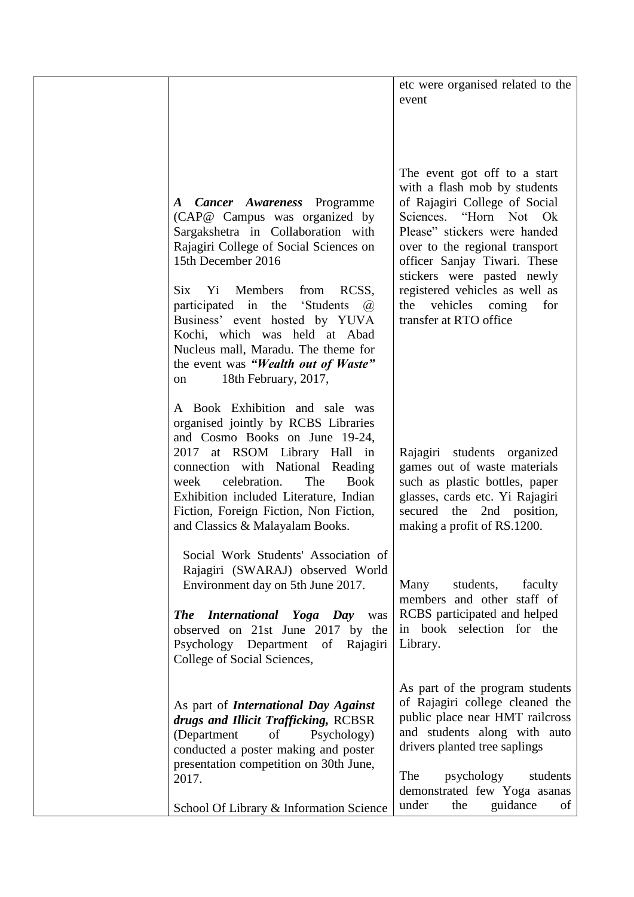|                                                                                                                                                                                                                                                                                                                                                                                                                                                             | etc were organised related to the<br>event                                                                                                                                                                                                                                                                                                              |
|-------------------------------------------------------------------------------------------------------------------------------------------------------------------------------------------------------------------------------------------------------------------------------------------------------------------------------------------------------------------------------------------------------------------------------------------------------------|---------------------------------------------------------------------------------------------------------------------------------------------------------------------------------------------------------------------------------------------------------------------------------------------------------------------------------------------------------|
| A Cancer Awareness Programme<br>(CAP@ Campus was organized by<br>Sargakshetra in Collaboration with<br>Rajagiri College of Social Sciences on<br>15th December 2016<br>Six<br>Yi Members<br>from<br>RCSS,<br>participated in the<br>'Students<br>$\left(\overline{a}\right)$<br>Business' event hosted by YUVA<br>Kochi, which was held at Abad<br>Nucleus mall, Maradu. The theme for<br>the event was "Wealth out of Waste"<br>18th February, 2017,<br>on | The event got off to a start<br>with a flash mob by students<br>of Rajagiri College of Social<br>Sciences. "Horn Not Ok<br>Please" stickers were handed<br>over to the regional transport<br>officer Sanjay Tiwari. These<br>stickers were pasted newly<br>registered vehicles as well as<br>vehicles<br>the<br>coming<br>for<br>transfer at RTO office |
| A Book Exhibition and sale was<br>organised jointly by RCBS Libraries<br>and Cosmo Books on June 19-24,<br>2017 at RSOM Library Hall in<br>connection with National Reading<br>celebration.<br>The<br><b>Book</b><br>week<br>Exhibition included Literature, Indian<br>Fiction, Foreign Fiction, Non Fiction,<br>and Classics & Malayalam Books.                                                                                                            | Rajagiri students organized<br>games out of waste materials<br>such as plastic bottles, paper<br>glasses, cards etc. Yi Rajagiri<br>secured<br>the 2nd position,<br>making a profit of RS.1200.                                                                                                                                                         |
| Social Work Students' Association of<br>Rajagiri (SWARAJ) observed World<br>Environment day on 5th June 2017.<br><b>The International Yoga Day was</b><br>observed on 21st June 2017 by the<br>Psychology Department<br>of Rajagiri<br>College of Social Sciences,                                                                                                                                                                                          | Many<br>students,<br>faculty<br>members and other staff of<br>RCBS participated and helped<br>in book selection for the<br>Library.                                                                                                                                                                                                                     |
| As part of <i>International Day Against</i><br>drugs and Illicit Trafficking, RCBSR<br>(Department<br>of<br>Psychology)<br>conducted a poster making and poster<br>presentation competition on 30th June,<br>2017.                                                                                                                                                                                                                                          | As part of the program students<br>of Rajagiri college cleaned the<br>public place near HMT railcross<br>and students along with auto<br>drivers planted tree saplings<br>The<br>psychology<br>students<br>demonstrated few Yoga asanas                                                                                                                 |
| School Of Library & Information Science                                                                                                                                                                                                                                                                                                                                                                                                                     | under<br>guidance<br>the<br>of                                                                                                                                                                                                                                                                                                                          |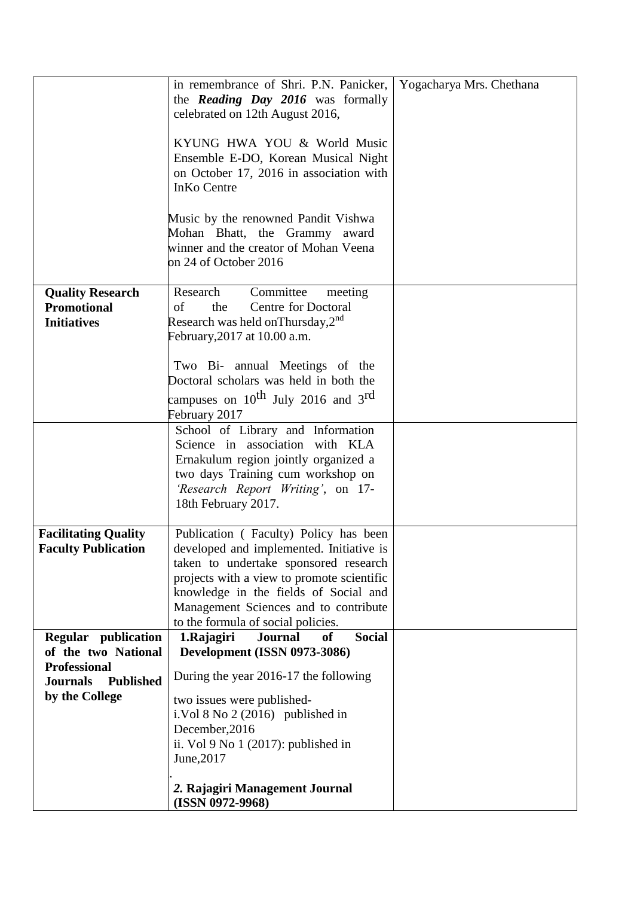|                                                                              | in remembrance of Shri. P.N. Panicker,<br>the <i>Reading Day 2016</i> was formally                                                                                                                                                                                                               | Yogacharya Mrs. Chethana |
|------------------------------------------------------------------------------|--------------------------------------------------------------------------------------------------------------------------------------------------------------------------------------------------------------------------------------------------------------------------------------------------|--------------------------|
|                                                                              | celebrated on 12th August 2016,                                                                                                                                                                                                                                                                  |                          |
|                                                                              | KYUNG HWA YOU & World Music<br>Ensemble E-DO, Korean Musical Night<br>on October 17, 2016 in association with<br><b>InKo Centre</b>                                                                                                                                                              |                          |
|                                                                              | Music by the renowned Pandit Vishwa<br>Mohan Bhatt, the Grammy award<br>winner and the creator of Mohan Veena<br>on 24 of October 2016                                                                                                                                                           |                          |
| <b>Quality Research</b><br><b>Promotional</b><br><b>Initiatives</b>          | Research<br>Committee<br>meeting<br><b>Centre for Doctoral</b><br>the<br>of<br>Research was held on Thursday, $2^{nd}$<br>February, 2017 at 10.00 a.m.                                                                                                                                           |                          |
|                                                                              | Two Bi- annual Meetings of the<br>Doctoral scholars was held in both the<br>campuses on $10^{th}$ July 2016 and 3 <sup>rd</sup><br>February 2017                                                                                                                                                 |                          |
|                                                                              | School of Library and Information<br>Science in association with KLA<br>Ernakulum region jointly organized a<br>two days Training cum workshop on<br>'Research Report Writing', on 17-<br>18th February 2017.                                                                                    |                          |
| <b>Facilitating Quality</b><br><b>Faculty Publication</b>                    | Publication (Faculty) Policy has been<br>developed and implemented. Initiative is<br>taken to undertake sponsored research<br>projects with a view to promote scientific<br>knowledge in the fields of Social and<br>Management Sciences and to contribute<br>to the formula of social policies. |                          |
| Regular publication<br>of the two National                                   | <b>Social</b><br>1.Rajagiri<br><b>Journal</b><br><b>of</b><br>Development (ISSN 0973-3086)                                                                                                                                                                                                       |                          |
| <b>Professional</b><br><b>Journals</b><br><b>Published</b><br>by the College | During the year 2016-17 the following<br>two issues were published-<br>i. Vol $8$ No $2(2016)$ published in<br>December, 2016<br>ii. Vol 9 No 1 (2017): published in                                                                                                                             |                          |
|                                                                              | June, 2017<br>2. Rajagiri Management Journal                                                                                                                                                                                                                                                     |                          |
|                                                                              | $(ISSN 0972-9968)$                                                                                                                                                                                                                                                                               |                          |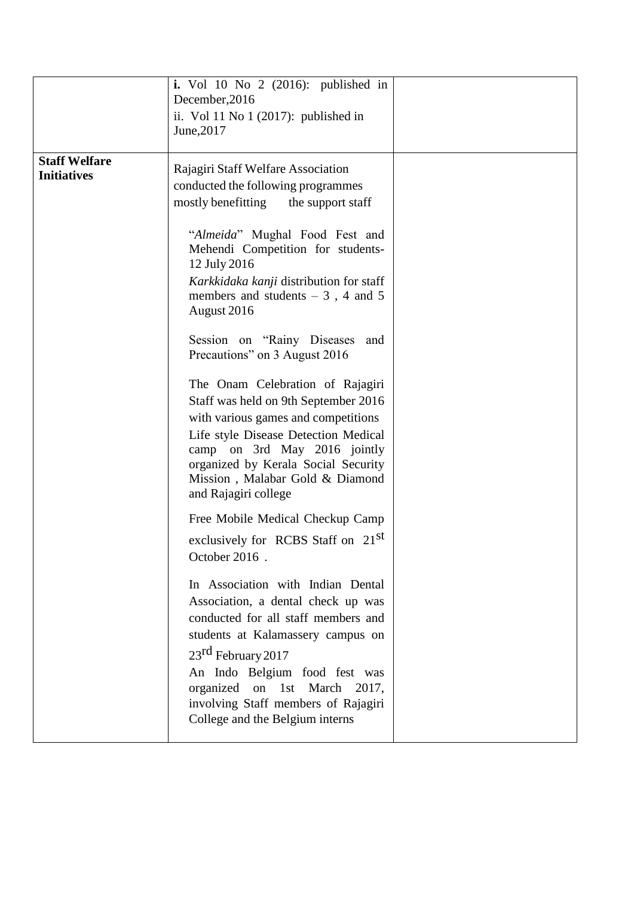|                                            | i. Vol 10 No 2 $(2016)$ : published in<br>December, 2016<br>ii. Vol 11 No 1 $(2017)$ : published in<br>June, 2017                                                                                                                                                                                                                                                                                                                                                                                                                                                                                                                                                                                                                                                                                                                                                                                                                                                                                                                                                                       |  |
|--------------------------------------------|-----------------------------------------------------------------------------------------------------------------------------------------------------------------------------------------------------------------------------------------------------------------------------------------------------------------------------------------------------------------------------------------------------------------------------------------------------------------------------------------------------------------------------------------------------------------------------------------------------------------------------------------------------------------------------------------------------------------------------------------------------------------------------------------------------------------------------------------------------------------------------------------------------------------------------------------------------------------------------------------------------------------------------------------------------------------------------------------|--|
| <b>Staff Welfare</b><br><b>Initiatives</b> | Rajagiri Staff Welfare Association<br>conducted the following programmes<br>mostly benefitting<br>the support staff<br>"Almeida" Mughal Food Fest and<br>Mehendi Competition for students-<br>12 July 2016<br>Karkkidaka kanji distribution for staff<br>members and students $-3$ , 4 and 5<br>August 2016<br>Session on "Rainy Diseases"<br>and<br>Precautions" on 3 August 2016<br>The Onam Celebration of Rajagiri<br>Staff was held on 9th September 2016<br>with various games and competitions<br>Life style Disease Detection Medical<br>camp on 3rd May 2016 jointly<br>organized by Kerala Social Security<br>Mission, Malabar Gold & Diamond<br>and Rajagiri college<br>Free Mobile Medical Checkup Camp<br>exclusively for RCBS Staff on 21 <sup>st</sup><br>October 2016.<br>In Association with Indian Dental<br>Association, a dental check up was<br>conducted for all staff members and<br>students at Kalamassery campus on<br>23 <sup>rd</sup> February 2017<br>An Indo Belgium food fest was<br>organized on 1st March 2017,<br>involving Staff members of Rajagiri |  |
|                                            | College and the Belgium interns                                                                                                                                                                                                                                                                                                                                                                                                                                                                                                                                                                                                                                                                                                                                                                                                                                                                                                                                                                                                                                                         |  |